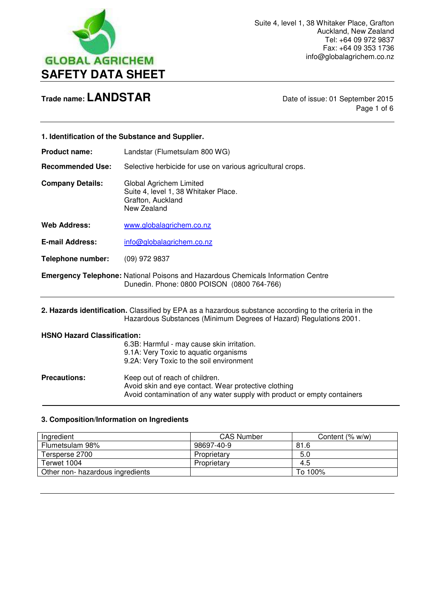

Page 1 of 6

| 1. Identification of the Substance and Supplier. |                                                                                                                                                                              |
|--------------------------------------------------|------------------------------------------------------------------------------------------------------------------------------------------------------------------------------|
| <b>Product name:</b>                             | Landstar (Flumetsulam 800 WG)                                                                                                                                                |
| <b>Recommended Use:</b>                          | Selective herbicide for use on various agricultural crops.                                                                                                                   |
| <b>Company Details:</b>                          | Global Agrichem Limited<br>Suite 4, level 1, 38 Whitaker Place.<br>Grafton, Auckland<br>New Zealand                                                                          |
| <b>Web Address:</b>                              | www.globalagrichem.co.nz                                                                                                                                                     |
| <b>E-mail Address:</b>                           | info@globalagrichem.co.nz                                                                                                                                                    |
| Telephone number:                                | $(09)$ 972 9837                                                                                                                                                              |
|                                                  | <b>Emergency Telephone:</b> National Poisons and Hazardous Chemicals Information Centre<br>Dunedin. Phone: 0800 POISON (0800 764-766)                                        |
|                                                  | 2. Hazards identification. Classified by EPA as a hazardous substance according to the criteria in the<br>Hazardous Substances (Minimum Degrees of Hazard) Regulations 2001. |

## **HSNO Hazard Classification:**

|                     | 6.3B: Harmful - may cause skin irritation.<br>9.1A: Very Toxic to aquatic organisms<br>9.2A: Very Toxic to the soil environment                                    |
|---------------------|--------------------------------------------------------------------------------------------------------------------------------------------------------------------|
| <b>Precautions:</b> | Keep out of reach of children.<br>Avoid skin and eye contact. Wear protective clothing<br>Avoid contamination of any water supply with product or empty containers |

## **3. Composition/Information on Ingredients**

| Ingredient                       | <b>CAS Number</b> | Content (% w/w) |
|----------------------------------|-------------------|-----------------|
| Flumetsulam 98%                  | 98697-40-9        | 81.6            |
| Tersperse 2700                   | Proprietary       | 5.0             |
| Terwet 1004                      | Proprietary       | 4.5             |
| Other non- hazardous ingredients |                   | To 100%         |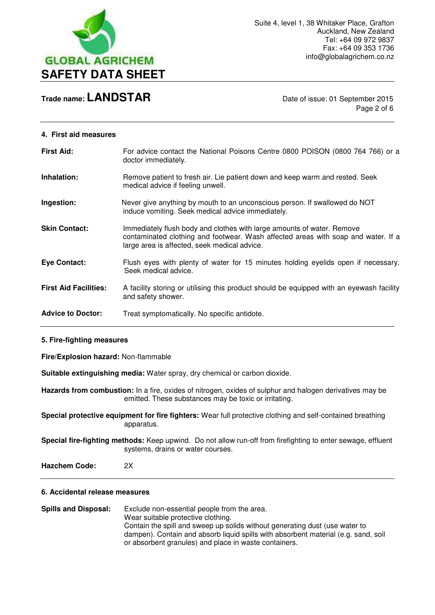

Page 2 of 6

#### **4. First aid measures**

| <b>First Aid:</b>            | For advice contact the National Poisons Centre 0800 POISON (0800 764 766) or a<br>doctor immediately.                                                                                                       |
|------------------------------|-------------------------------------------------------------------------------------------------------------------------------------------------------------------------------------------------------------|
| Inhalation:                  | Remove patient to fresh air. Lie patient down and keep warm and rested. Seek<br>medical advice if feeling unwell.                                                                                           |
| Ingestion:                   | Never give anything by mouth to an unconscious person. If swallowed do NOT<br>induce vomiting. Seek medical advice immediately.                                                                             |
| <b>Skin Contact:</b>         | Immediately flush body and clothes with large amounts of water. Remove<br>contaminated clothing and footwear. Wash affected areas with soap and water. If a<br>large area is affected, seek medical advice. |
| <b>Eye Contact:</b>          | Flush eyes with plenty of water for 15 minutes holding eyelids open if necessary.<br>Seek medical advice.                                                                                                   |
| <b>First Aid Facilities:</b> | A facility storing or utilising this product should be equipped with an eyewash facility<br>and safety shower.                                                                                              |
| <b>Advice to Doctor:</b>     | Treat symptomatically. No specific antidote.                                                                                                                                                                |

#### **5. Fire-fighting measures**

**Fire/Explosion hazard:** Non-flammable

**Suitable extinguishing media:** Water spray, dry chemical or carbon dioxide.

**Hazards from combustion:** In a fire, oxides of nitrogen, oxides of sulphur and halogen derivatives may be emitted. These substances may be toxic or irritating.

**Special protective equipment for fire fighters:** Wear full protective clothing and self-contained breathing apparatus.

**Special fire-fighting methods:** Keep upwind. Do not allow run-off from firefighting to enter sewage, effluent systems, drains or water courses.

**Hazchem Code:** 2X

#### **6. Accidental release measures**

**Spills and Disposal:** Exclude non-essential people from the area. Wear suitable protective clothing. Contain the spill and sweep up solids without generating dust (use water to dampen). Contain and absorb liquid spills with absorbent material (e.g. sand, soil or absorbent granules) and place in waste containers.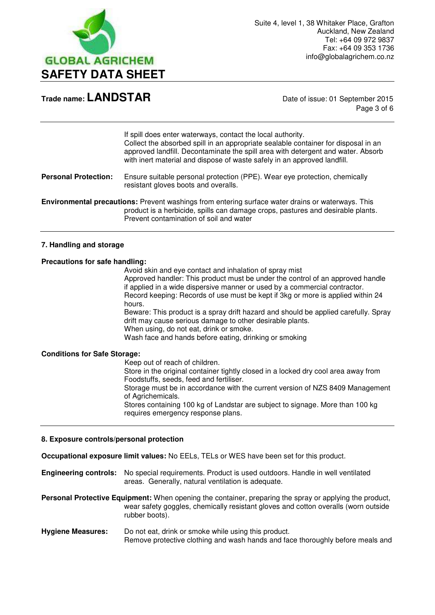

Page 3 of 6

If spill does enter waterways, contact the local authority. Collect the absorbed spill in an appropriate sealable container for disposal in an approved landfill. Decontaminate the spill area with detergent and water. Absorb with inert material and dispose of waste safely in an approved landfill.

#### **Personal Protection:** Ensure suitable personal protection (PPE). Wear eye protection, chemically resistant gloves boots and overalls.

**Environmental precautions:** Prevent washings from entering surface water drains or waterways. This product is a herbicide, spills can damage crops, pastures and desirable plants. Prevent contamination of soil and water

#### **7. Handling and storage**

#### **Precautions for safe handling:**

Avoid skin and eye contact and inhalation of spray mist

 Approved handler: This product must be under the control of an approved handle if applied in a wide dispersive manner or used by a commercial contractor. Record keeping: Records of use must be kept if 3kg or more is applied within 24 hours.

 Beware: This product is a spray drift hazard and should be applied carefully. Spray drift may cause serious damage to other desirable plants. When using, do not eat, drink or smoke.

Wash face and hands before eating, drinking or smoking

#### **Conditions for Safe Storage:**

Keep out of reach of children.

 Store in the original container tightly closed in a locked dry cool area away from Foodstuffs, seeds, feed and fertiliser.

 Storage must be in accordance with the current version of NZS 8409 Management of Agrichemicals.

 Stores containing 100 kg of Landstar are subject to signage. More than 100 kg requires emergency response plans.

#### **8. Exposure controls/personal protection**

**Occupational exposure limit values:** No EELs, TELs or WES have been set for this product.

**Engineering controls:** No special requirements. Product is used outdoors. Handle in well ventilated areas. Generally, natural ventilation is adequate.

**Personal Protective Equipment:** When opening the container, preparing the spray or applying the product, wear safety goggles, chemically resistant gloves and cotton overalls (worn outside rubber boots).

**Hygiene Measures:** Do not eat, drink or smoke while using this product. Remove protective clothing and wash hands and face thoroughly before meals and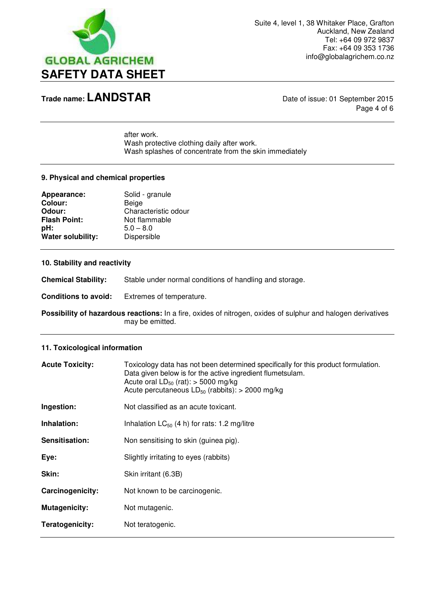

Page 4 of 6

 after work. Wash protective clothing daily after work. Wash splashes of concentrate from the skin immediately

### **9. Physical and chemical properties**

| Appearance:         | Solid - granule      |
|---------------------|----------------------|
| <b>Colour:</b>      | Beige                |
| Odour:              | Characteristic odour |
| <b>Flash Point:</b> | Not flammable        |
| pH:                 | $5.0 - 8.0$          |
| Water solubility:   | Dispersible          |

#### **10. Stability and reactivity**

**Chemical Stability:** Stable under normal conditions of handling and storage.

**Conditions to avoid:** Extremes of temperature.

**Possibility of hazardous reactions:** In a fire, oxides of nitrogen, oxides of sulphur and halogen derivatives may be emitted.

#### **11. Toxicological information**

| <b>Acute Toxicity:</b> | Toxicology data has not been determined specifically for this product formulation.<br>Data given below is for the active ingredient flumetsulam.<br>Acute oral $LD_{50}$ (rat): > 5000 mg/kg<br>Acute percutaneous $LD_{50}$ (rabbits): > 2000 mg/kg |
|------------------------|------------------------------------------------------------------------------------------------------------------------------------------------------------------------------------------------------------------------------------------------------|
| Ingestion:             | Not classified as an acute toxicant.                                                                                                                                                                                                                 |
| Inhalation:            | Inhalation $LC_{50}$ (4 h) for rats: 1.2 mg/litre                                                                                                                                                                                                    |
| Sensitisation:         | Non sensitising to skin (guinea pig).                                                                                                                                                                                                                |
| Eye:                   | Slightly irritating to eyes (rabbits)                                                                                                                                                                                                                |
| Skin:                  | Skin irritant (6.3B)                                                                                                                                                                                                                                 |
| Carcinogenicity:       | Not known to be carcinogenic.                                                                                                                                                                                                                        |
| Mutagenicity:          | Not mutagenic.                                                                                                                                                                                                                                       |
| Teratogenicity:        | Not teratogenic.                                                                                                                                                                                                                                     |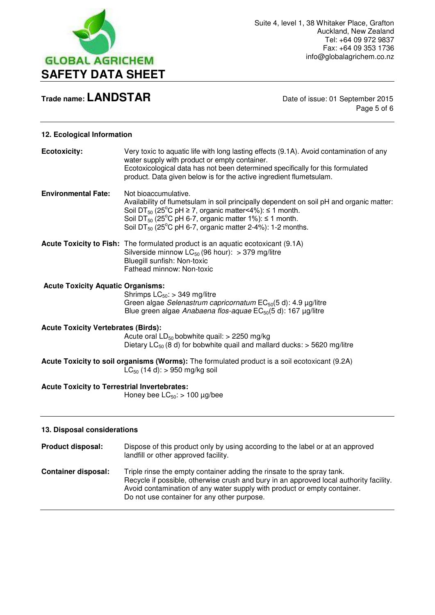

Page 5 of 6

### **12. Ecological Information**

| <b>Ecotoxicity:</b>                                                                       | Very toxic to aquatic life with long lasting effects (9.1A). Avoid contamination of any<br>water supply with product or empty container.<br>Ecotoxicological data has not been determined specifically for this formulated<br>product. Data given below is for the active ingredient flumetsulam.                                                                                            |
|-------------------------------------------------------------------------------------------|----------------------------------------------------------------------------------------------------------------------------------------------------------------------------------------------------------------------------------------------------------------------------------------------------------------------------------------------------------------------------------------------|
| <b>Environmental Fate:</b>                                                                | Not bioaccumulative.<br>Availability of flumetsulam in soil principally dependent on soil pH and organic matter:<br>Soil DT <sub>50</sub> (25 <sup>o</sup> C pH $\geq$ 7, organic matter <4%): $\leq$ 1 month.<br>Soil DT <sub>50</sub> (25 <sup>°</sup> C pH 6-7, organic matter 1%): $\leq$ 1 month.<br>Soil DT <sub>50</sub> (25 <sup>°</sup> C pH 6-7, organic matter 2-4%): 1-2 months. |
|                                                                                           | Acute Toxicity to Fish: The formulated product is an aquatic ecotoxicant (9.1A)<br>Silverside minnow $LC_{50}$ (96 hour): > 379 mg/litre<br>Bluegill sunfish: Non-toxic<br>Fathead minnow: Non-toxic                                                                                                                                                                                         |
| <b>Acute Toxicity Aquatic Organisms:</b>                                                  | Shrimps $LC_{50}$ : > 349 mg/litre<br>Green algae Selenastrum capricornatum EC <sub>50</sub> (5 d): 4.9 µg/litre<br>Blue green algae Anabaena flos-aquae EC <sub>50</sub> (5 d): 167 µg/litre                                                                                                                                                                                                |
| <b>Acute Toxicity Vertebrates (Birds):</b>                                                | Acute oral $LD_{50}$ bobwhite quail: > 2250 mg/kg<br>Dietary LC <sub>50</sub> (8 d) for bobwhite quail and mallard ducks: $>$ 5620 mg/litre                                                                                                                                                                                                                                                  |
|                                                                                           | Acute Toxicity to soil organisms (Worms): The formulated product is a soil ecotoxicant (9.2A)<br>$LC_{50}$ (14 d): > 950 mg/kg soil                                                                                                                                                                                                                                                          |
| <b>Acute Toxicity to Terrestrial Invertebrates:</b><br>Honey bee $LC_{50}$ : > 100 µg/bee |                                                                                                                                                                                                                                                                                                                                                                                              |
| 13. Disposal considerations                                                               |                                                                                                                                                                                                                                                                                                                                                                                              |
| Product disposal:                                                                         | Dispose of this product only by using according to the label or at an approved<br>landfill or other approved facility.                                                                                                                                                                                                                                                                       |

**Container disposal:** Triple rinse the empty container adding the rinsate to the spray tank. Recycle if possible, otherwise crush and bury in an approved local authority facility. Avoid contamination of any water supply with product or empty container. Do not use container for any other purpose.